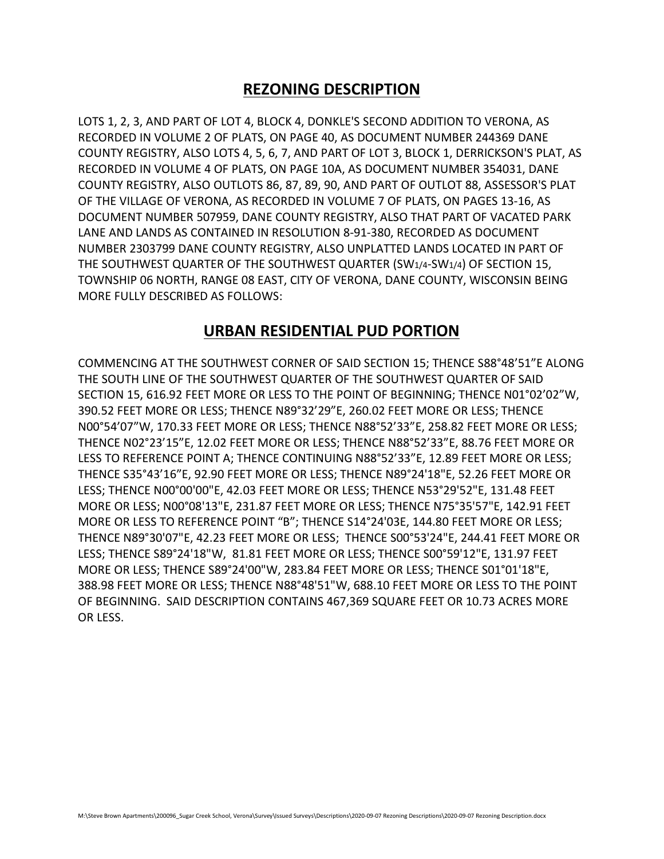## **REZONING DESCRIPTION**

LOTS 1, 2, 3, AND PART OF LOT 4, BLOCK 4, DONKLE'S SECOND ADDITION TO VERONA, AS RECORDED IN VOLUME 2 OF PLATS, ON PAGE 40, AS DOCUMENT NUMBER 244369 DANE COUNTY REGISTRY, ALSO LOTS 4, 5, 6, 7, AND PART OF LOT 3, BLOCK 1, DERRICKSON'S PLAT, AS RECORDED IN VOLUME 4 OF PLATS, ON PAGE 10A, AS DOCUMENT NUMBER 354031, DANE COUNTY REGISTRY, ALSO OUTLOTS 86, 87, 89, 90, AND PART OF OUTLOT 88, ASSESSOR'S PLAT OF THE VILLAGE OF VERONA, AS RECORDED IN VOLUME 7 OF PLATS, ON PAGES 13-16, AS DOCUMENT NUMBER 507959, DANE COUNTY REGISTRY, ALSO THAT PART OF VACATED PARK LANE AND LANDS AS CONTAINED IN RESOLUTION 8-91-380, RECORDED AS DOCUMENT NUMBER 2303799 DANE COUNTY REGISTRY, ALSO UNPLATTED LANDS LOCATED IN PART OF THE SOUTHWEST QUARTER OF THE SOUTHWEST QUARTER (SW1/4-SW1/4) OF SECTION 15, TOWNSHIP 06 NORTH, RANGE 08 EAST, CITY OF VERONA, DANE COUNTY, WISCONSIN BEING MORE FULLY DESCRIBED AS FOLLOWS:

## **URBAN RESIDENTIAL PUD PORTION**

COMMENCING AT THE SOUTHWEST CORNER OF SAID SECTION 15; THENCE S88°48'51"E ALONG THE SOUTH LINE OF THE SOUTHWEST QUARTER OF THE SOUTHWEST QUARTER OF SAID SECTION 15, 616.92 FEET MORE OR LESS TO THE POINT OF BEGINNING; THENCE N01°02'02"W, 390.52 FEET MORE OR LESS; THENCE N89°32'29"E, 260.02 FEET MORE OR LESS; THENCE N00°54'07"W, 170.33 FEET MORE OR LESS; THENCE N88°52'33"E, 258.82 FEET MORE OR LESS; THENCE N02°23'15"E, 12.02 FEET MORE OR LESS; THENCE N88°52'33"E, 88.76 FEET MORE OR LESS TO REFERENCE POINT A; THENCE CONTINUING N88°52'33"E, 12.89 FEET MORE OR LESS; THENCE S35°43'16"E, 92.90 FEET MORE OR LESS; THENCE N89°24'18"E, 52.26 FEET MORE OR LESS; THENCE N00°00'00"E, 42.03 FEET MORE OR LESS; THENCE N53°29'52"E, 131.48 FEET MORE OR LESS; N00°08'13"E, 231.87 FEET MORE OR LESS; THENCE N75°35'57"E, 142.91 FEET MORE OR LESS TO REFERENCE POINT "B"; THENCE S14°24'03E, 144.80 FEET MORE OR LESS; THENCE N89°30'07"E, 42.23 FEET MORE OR LESS; THENCE S00°53'24"E, 244.41 FEET MORE OR LESS; THENCE S89°24'18"W, 81.81 FEET MORE OR LESS; THENCE S00°59'12"E, 131.97 FEET MORE OR LESS; THENCE S89°24'00"W, 283.84 FEET MORE OR LESS; THENCE S01°01'18"E, 388.98 FEET MORE OR LESS; THENCE N88°48'51"W, 688.10 FEET MORE OR LESS TO THE POINT OF BEGINNING. SAID DESCRIPTION CONTAINS 467,369 SQUARE FEET OR 10.73 ACRES MORE OR LESS.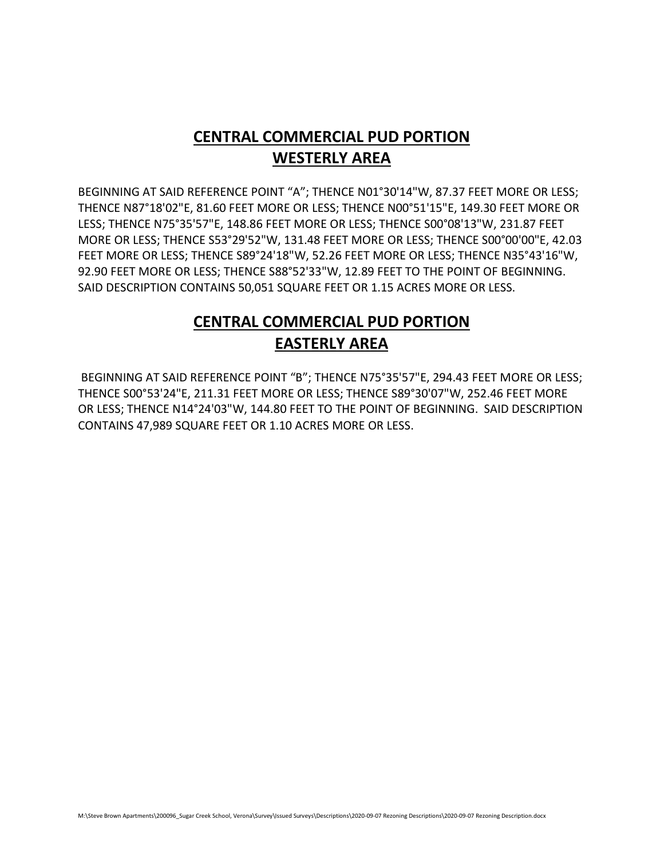## **CENTRAL COMMERCIAL PUD PORTION WESTERLY AREA**

BEGINNING AT SAID REFERENCE POINT "A"; THENCE N01°30'14"W, 87.37 FEET MORE OR LESS; THENCE N87°18'02"E, 81.60 FEET MORE OR LESS; THENCE N00°51'15"E, 149.30 FEET MORE OR LESS; THENCE N75°35'57"E, 148.86 FEET MORE OR LESS; THENCE S00°08'13"W, 231.87 FEET MORE OR LESS; THENCE S53°29'52"W, 131.48 FEET MORE OR LESS; THENCE S00°00'00"E, 42.03 FEET MORE OR LESS; THENCE S89°24'18"W, 52.26 FEET MORE OR LESS; THENCE N35°43'16"W, 92.90 FEET MORE OR LESS; THENCE S88°52'33"W, 12.89 FEET TO THE POINT OF BEGINNING. SAID DESCRIPTION CONTAINS 50,051 SQUARE FEET OR 1.15 ACRES MORE OR LESS.

## **CENTRAL COMMERCIAL PUD PORTION EASTERLY AREA**

BEGINNING AT SAID REFERENCE POINT "B"; THENCE N75°35'57"E, 294.43 FEET MORE OR LESS; THENCE S00°53'24"E, 211.31 FEET MORE OR LESS; THENCE S89°30'07"W, 252.46 FEET MORE OR LESS; THENCE N14°24'03"W, 144.80 FEET TO THE POINT OF BEGINNING. SAID DESCRIPTION CONTAINS 47,989 SQUARE FEET OR 1.10 ACRES MORE OR LESS.